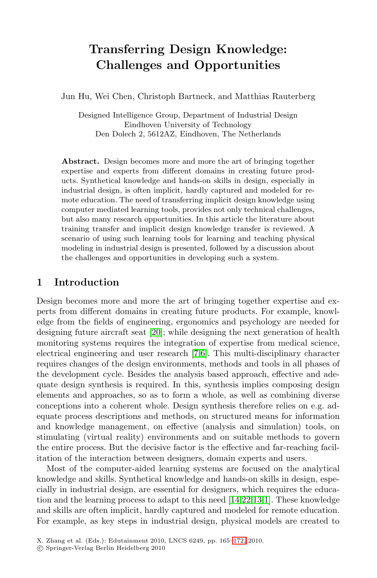# **Transferring Design Knowledge: Challenges and Opportunities**

Jun Hu, Wei Chen, Christoph Bartneck, and Matthias Rauterberg

Designed Intelligence Group, Department of Industrial Design Eindhoven University of Technology Den Dolech 2, 5612AZ, Eindhoven, The Netherlands

**Abstract.** Design becomes more and more the art of bringing together expertise and experts from different domains in creating future products. Synthetical knowledge and hands-on skills in design, especially in industrial design, is often implicit, hardly captured and modeled for remote education. The need of transferring implicit design knowledge using computer mediated learning tools, provides not only technical challenges, but also many research opportunities. In this article the literature about training transfer and implicit design knowledge transfer is reviewed. A scenario of using such learning tools for learning and teaching physical mod[elin](#page-7-0)g in industrial design is presented, followed by a discussion about the challenges and opportunities in developing such a system.

#### **1 Introduction**

Design becomes more and more the art of bringing together expertise and experts from different domains in creating future products. For example, knowledge from the fields of engineering, ergonomics and psychology are needed for designing future aircraft seat [20]; while designing the next generation of health monitoring systems requires the integration of expertise from medical science, electrical engineering and user research [7,6]. This multi-disciplinary character requires changes of the design environments, methods and tools in all phases of the development cycle. Besides the analysis based approach, effective and adequate design synthesis is required. In this, synthesis implies composing design elements and approaches, so as to form a whole, as well as combining diverse conceptions into a coherent whole. Design synthesis therefore relies on e.g. adequate process descriptions an[d m](#page-7-1)[eth](#page-7-2)[od](#page-7-3)[s,](#page-6-0) on structured means for information and knowledge management, on effective (analysis and simulation) tools, on stimulating (virtual reality) environments and on suitable methods to govern the entire process. But the decisive factor is the effective and far-reaching facilitation of the interaction betwee[n de](#page-7-4)signers, domain experts and users.

Most of the computer-aided learning systems are focused on the analytical knowledge and skills. Synthetical knowledge and hands-on skills in design, especially in industrial design, are essential for designers, which requires the education and the learning process to adapt to this need [14,22,13,1]. These knowledge and skills are often implicit, hardly captured and modeled for remote education. For example, as key steps in industrial design, physical models are created to

X. Zhang et al. (Eds.): Edutainment 2010, LNCS 6249, pp. 165–172, 2010.

<sup>-</sup>c Springer-Verlag Berlin Heidelberg 2010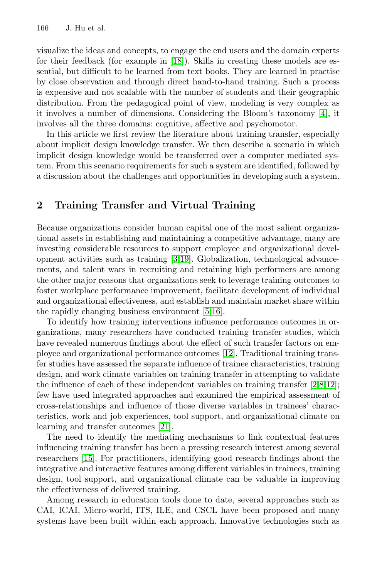visualize the ideas and concepts, to engage the end users and the domain experts for their feedback (for example in [18]). Skills in creating these models are essential, but difficult to be learned from text books. They are learned in practise by close observation and through direct hand-to-hand training. Such a process is expensive and not scalable with the number of students and their geographic distribution. From the pedagogical point of view, modeling is very complex as it involves a number of dimensions. Considering the Bloom's taxonomy [4], it involves all the three domains: cognitive, affective and psychomotor.

In this article we first review the literature about training transfer, especially about implicit design knowledge transfer. We then describe a scenario in which implicit design knowledge would be transferred over a computer mediated system. From this scenario requirements for such a system are identified, followed by a discussion abo[ut](#page-6-1) [the](#page-7-5) challenges and opportunities in developing such a system.

## **2 Training Transfer and Virtual Training**

Because organizations co[ns](#page-6-2)[ide](#page-7-6)r human capital one of the most salient organizational assets in establishing and maintaining a competitive advantage, many are investing considerable resources to support employee and organizational development activities such as training [3,19]. Globalization, technological advancements, and talent wars in rec[rui](#page-7-7)ting and retaining high performers are among the other major reasons that organizations seek to leverage training outcomes to foster workplace performance improvement, facilitate development of individual and organizational effectiveness, and establish and m[ain](#page-6-3)[t](#page-7-8)[ain](#page-7-7) market share within the rapidly changing business environment [5,16].

To identify how training interventions influence performance outcomes in organizations, many researchers have conducted training transfer studies, which have reveale[d nu](#page-7-9)merous findings about the effect of such transfer factors on employee and organizational performance outcomes [12]. Traditional training transfer studies have assessed the separate influence of trainee characteristics, training design, and work climate variables on training transfer in attempting to validate the influence of each of these independent variables on training transfer [2,8,12]; few have used integrated approaches and examined the empirical assessment of cross-relationships and influence of those diverse variables in trainees' characteristics, work and job experiences, tool support, and organizational climate on learning and transfer outcomes [21].

The need to identify the mediating mechanisms to link contextual features influencing training transfer has been a pressing research interest among several researchers [15]. For practitioners, identifying good research findings about the integrative and interactive features among different variables in trainees, training design, tool support, and organizational climate can be valuable in improving the effectiveness of delivered training.

Among research in education tools done to date, several approaches such as CAI, ICAI, Micro-world, ITS, ILE, and CSCL have been proposed and many systems have been built within each approach. Innovative technologies such as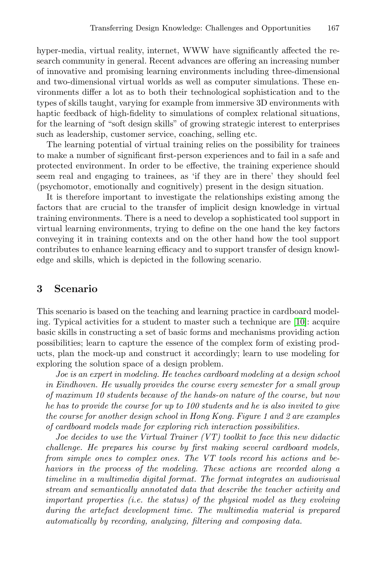hyper-media, virtual reality, internet, WWW have significantly affected the research community in general. Recent advances are offering an increasing number of innovative and promising learning environments including three-dimensional and two-dimensional virtual worlds as well as computer simulations. These environments differ a lot as to both their technological sophistication and to the types of skills taught, varying for example from immersive 3D environments with haptic feedback of high-fidelity to simulations of complex relational situations, for the learning of "soft design skills" of growing strategic interest to enterprises such as leadership, customer service, coaching, selling etc.

The learning potential of virtual training relies on the possibility for trainees to make a number of significant first-person experiences and to fail in a safe and protected environment. In order to be effective, the training experience should seem real and engaging to trainees, as 'if they are in there' they should feel (psychomotor, emotionally and cognitively) present in the design situation.

It is therefore important to investigate the relationships existing among the factors that are crucial to the transfer of implicit design knowledge in virtual training environments. There is a need to develop a sophisticated tool support in virtual learning environments, trying to define on the one hand the key factors conveying it in training contexts and on the ot[her](#page-7-10) hand how the tool support contributes to enhance learning efficacy and to support transfer of design knowledge and skills, which is depicted in the following scenario.

### **3 Scenario**

This scenario is based on the teaching and learning practice in cardboard modeling. Typical activities for a student to master such a technique are [10]: acquire basic skills in constructing a set of basic forms and mechanisms providing action possibilities; learn to capture the essence of the complex form of existing products, plan the mock-up and construct it accordingly; learn to use modeling for exploring the solution space of a design problem.

*Joe is an expert in modeling. He teaches cardboard modeling at a design school in Eindhoven. He usually provides the course every semester for a small group of maximum 10 students because of the hands-on nature of the course, but now he has to provide the course for up to 100 students and he is also invited to give the course for another design school in Hong Kong. Figure 1 and 2 are examples of cardboard models made for exploring rich interaction possibilities.*

*Joe decides to use the Virtual Trainer (VT) toolkit to face this new didactic challenge. He prepares his course by first making several cardboard models, from simple ones to complex ones. The VT tools record his actions and behaviors in the process of the modeling. These actions are recorded along a timeline in a multimedia digital format. The format integrates an audiovisual stream and semantically annotated data that describe the teacher activity and important properties (i.e. the status) of the physical model as they evolving during the artefact development time. The multimedia material is prepared automatically by recording, analyzing, filtering and composing data.*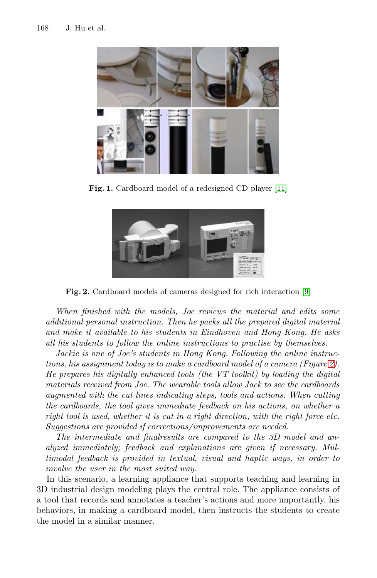

Fig. 1. Cardboard model of a redesigned CD player [11]



**Fig. 2.** Cardboard models of cameras designed for rich interaction [9]

*When finished with the models, Joe reviews the material and edits some additional personal instruction. Then he packs all the prepared digital material and make it available to his students in Eindhoven and Hong Kong. He asks all his students to follow the online instructions to practise by themselves.*

*Jackie is one of Joe's students in Hong Kong. Following the online instructions, his assignment today is to make a cardboard model of a camera (Figure 2). He prepares his digitally enhanced tools (the VT toolkit) by loading the digital materials received from Joe. The wearable tools allow Jack to see the cardboards augmented with the cut lines indicating steps, tools and actions. When cutting the cardboards, the tool gives immediate feedback on his actions, on whether a right tool is used, whether it is cut in a right direction, with the right force etc. Suggestions are provided if corrections/improvements are needed.*

*The intermediate and finalresults are compared to the 3D model and analyzed immediately; feedback and explanations are given if necessary. Multimodal feedback is provided in textual, visual and haptic ways, in order to involve the user in the most suited way.*

In this scenario, a learning appliance that supports teaching and learning in 3D industrial design modeling plays the central role. The appliance consists of a tool that records and annotates a teacher's actions and more importantly, his behaviors, in making a cardboard model, then instructs the students to create the model in a similar manner.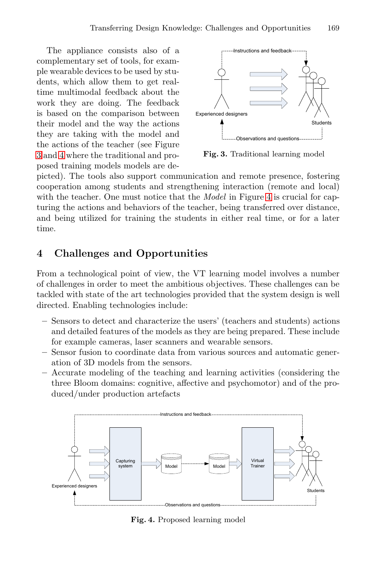The appliance consists also of a complementary set of tools, for example wearable devices to be used by students, which allow them to get realtime multimodal feedback about the work they are doing. The feedback is based on the comparison between their model and the way the actions they are taking with the model and the actions of the teacher (see Figure 3 and 4 where the traditional and proposed training models models are de-



**Fig. 3.** Traditional learning model

picted). The tools also support communication and remote presence, fostering cooperation among students and strengthening interaction (remote and local) with the teacher. One must notice that the *Model* in Figure 4 is crucial for capturing the actions and behaviors of the teacher, being transferred over distance, and being utilized for training the students in either real time, or for a later time.

#### **4 Challenges and Opportunities**

From a technological point of view, the VT learning model involves a number of challenges in order to meet the ambitious objectives. These challenges can be tackled with state of the art technologies provided that the system design is well directed. Enabling technologies include:

- **–** Sensors to detect and characterize the users' (teachers and students) actions and detailed features of the models as they are being prepared. These include for example cameras, laser scanners and wearable sensors.
- **–** Sensor fusion to coordinate data from various sources and automatic generation of 3D models from the sensors.
- **–** Accurate modeling of the teaching and learning activities (considering the three Bloom domains: cognitive, affective and psychomotor) and of the produced/under production artefacts

<span id="page-4-0"></span>

**Fig. 4.** Proposed learning model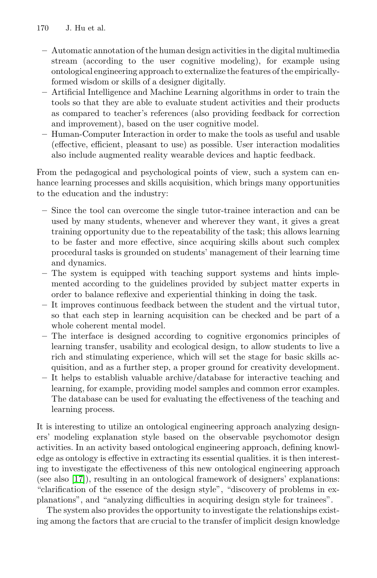- **–** Automatic annotation of the human design activities in the digital multimedia stream (according to the user cognitive modeling), for example using ontological engineering approach to externalize the features of the empiricallyformed wisdom or skills of a designer digitally.
- **–** Artificial Intelligence and Machine Learning algorithms in order to train the tools so that they are able to evaluate student activities and their products as compared to teacher's references (also providing feedback for correction and improvement), based on the user cognitive model.
- **–** Human-Computer Interaction in order to make the tools as useful and usable (effective, efficient, pleasant to use) as possible. User interaction modalities also include augmented reality wearable devices and haptic feedback.

From the pedagogical and psychological points of view, such a system can enhance learning processes and skills acquisition, which brings many opportunities to the education and the industry:

- **–** Since the tool can overcome the single tutor-trainee interaction and can be used by many students, whenever and wherever they want, it gives a great training opportunity due to the repeatability of the task; this allows learning to be faster and more effective, since acquiring skills about such complex procedural tasks is grounded on students' management of their learning time and dynamics.
- **–** The system is equipped with teaching support systems and hints implemented according to the guidelines provided by subject matter experts in order to balance reflexive and experiential thinking in doing the task.
- **–** It improves continuous feedback between the student and the virtual tutor, so that each step in learning acquisition can be checked and be part of a whole coherent mental model.
- **–** The interface is designed according to cognitive ergonomics principles of learning transfer, usability and ecological design, to allow students to live a rich and stimulating experience, which will set the stage for basic skills acquisition, and as a further step, a proper ground for creativity development.
- **–** It helps to establish valuable archive/database for interactive teaching and learning, for example, providing model samples and common error examples. The database can be used for evaluating the effectiveness of the teaching and learning process.

It is interesting to utilize an ontological engineering approach analyzing designers' modeling explanation style based on the observable psychomotor design activities. In an activity based ontological engineering approach, defining knowledge as ontology is effective in extracting its essential qualities. it is then interesting to investigate the effectiveness of this new ontological engineering approach (see also [17]), resulting in an ontological framework of designers' explanations: "clarification of the essence of the design style", "discovery of problems in explanations", and "analyzing difficulties in acquiring design style for trainees".

The system also provides the opportunity to investigate the relationships existing among the factors that are crucial to the transfer of implicit design knowledge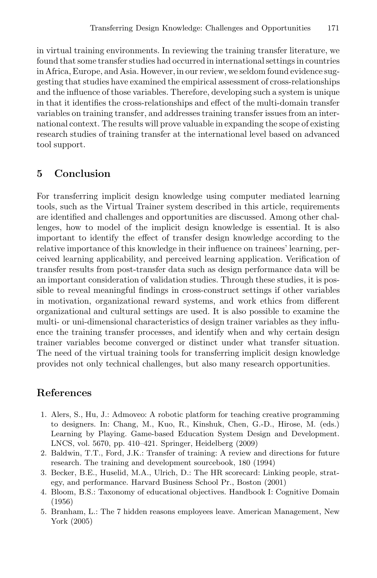in virtual training environments. In reviewing the training transfer literature, we found that some transfer studies had occurred in international settings in countries in Africa, Europe, and Asia. However, in our review, we seldom found evidence suggesting that studies have examined the empirical assessment of cross-relationships and the influence of those variables. Therefore, developing such a system is unique in that it identifies the cross-relationships and effect of the multi-domain transfer variables on training transfer, and addresses training transfer issues from an international context. The results will prove valuable in expanding the scope of existing research studies of training transfer at the international level based on advanced tool support.

### **5 Conclusion**

For transferring implicit design knowledge using computer mediated learning tools, such as the Virtual Trainer system described in this article, requirements are identified and challenges and opportunities are discussed. Among other challenges, how to model of the implicit design knowledge is essential. It is also important to identify the effect of transfer design knowledge according to the relative importance of this knowledge in their influence on trainees' learning, perceived learning applicability, and perceived learning application. Verification of transfer results from post-transfer data such as design performance data will be an important consideration of validation studies. Through these studies, it is possible to reveal meaningful findings in cross-construct settings if other variables in motivation, organizational reward systems, and work ethics from different organizational and cultural settings are used. It is also possible to examine the multi- or uni-dimensional characteristics of design trainer variables as they influence the training transfer processes, and identify when and why certain design trainer variables become converged or distinct under what transfer situation. The need of the virtual training tools for transferring implicit design knowledge provides not only technical challenges, but also many research opportunities.

## **References**

- <span id="page-6-0"></span>1. Alers, S., Hu, J.: Admoveo: A robotic platform for teaching creative programming to designers. In: Chang, M., Kuo, R., Kinshuk, Chen, G.-D., Hirose, M. (eds.) Learning by Playing. Game-based Education System Design and Development. LNCS, vol. 5670, pp. 410–421. Springer, Heidelberg (2009)
- <span id="page-6-3"></span>2. Baldwin, T.T., Ford, J.K.: Transfer of training: A review and directions for future research. The training and development sourcebook, 180 (1994)
- <span id="page-6-1"></span>3. Becker, B.E., Huselid, M.A., Ulrich, D.: The HR scorecard: Linking people, strategy, and performance. Harvard Business School Pr., Boston (2001)
- 4. Bloom, B.S.: Taxonomy of educational objectives. Handbook I: Cognitive Domain (1956)
- <span id="page-6-2"></span>5. Branham, L.: The 7 hidden reasons employees leave. American Management, New York (2005)